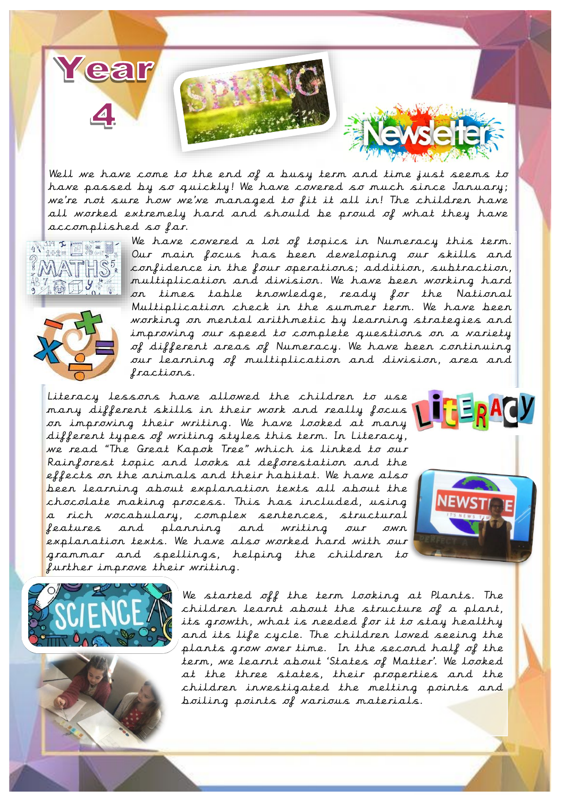

Well we have come to the end of a busy term and time just seems to have passed by so quickly! We have covered so much since January; we're not sure how we've managed to fit it all in! The children have all worked extremely hard and should be proud of what they have accomplished so far.





We have covered a lot of topics in Numeracy this term. Our main focus has been developing our skills and confidence in the four operations; addition, subtraction, multiplication and division. We have been working hard on times table knowledge, ready for the National Multiplication check in the summer term. We have been working on mental arithmetic by learning strategies and improving our speed to complete questions on a variety of different areas of Numeracy. We have been continuing our learning of multiplication and division, area and fractions.

Literacy lessons have allowed the children to use many different skills in their work and really focus on improving their writing. We have looked at many different types of writing styles this term. In Literacy, we read "The Great Kapok Tree" which is linked to our Rainforest topic and looks at deforestation and the effects on the animals and their habitat. We have also been learning about explanation texts all about the chocolate making process. This has included, using a rich vocabulary, complex sentences, structural features and planning and writing our own explanation texts. We have also worked hard with our grammar and spellings, helping the children to further improve their writing.









We started off the term looking at Plants. The children learnt about the structure of a plant, its growth, what is needed for it to stay healthy and its life cycle. The children loved seeing the plants grow over time. In the second half of the term, we learnt about 'States of Matter'. We looked at the three states, their properties and the children investigated the melting points and boiling points of various materials.